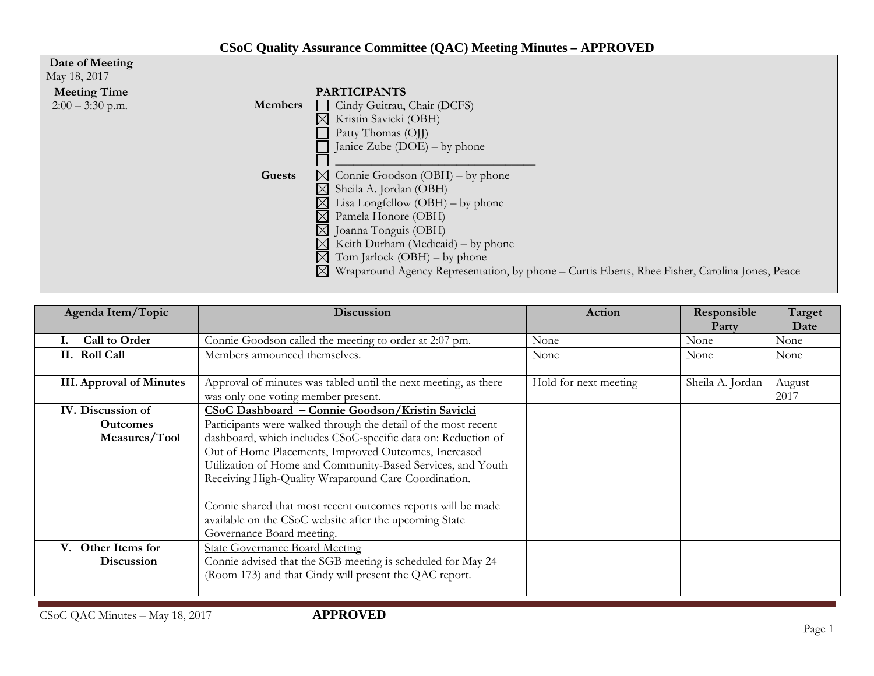## **CSoC Quality Assurance Committee (QAC) Meeting Minutes – APPROVED**

| Date of Meeting                      |                                                                                                            |
|--------------------------------------|------------------------------------------------------------------------------------------------------------|
| May 18, 2017                         |                                                                                                            |
| <b>Meeting Time</b>                  | <b>PARTICIPANTS</b>                                                                                        |
| <b>Members</b><br>$2:00 - 3:30$ p.m. | Cindy Guitrau, Chair (DCFS)                                                                                |
|                                      | Kristin Savicki (OBH)<br>$\boxtimes$                                                                       |
|                                      | Patty Thomas (OJJ)                                                                                         |
|                                      | Janice Zube $(DOE)$ – by phone                                                                             |
|                                      |                                                                                                            |
| <b>Guests</b>                        | $\boxtimes$ Connie Goodson (OBH) – by phone                                                                |
|                                      | Sheila A. Jordan (OBH)<br>$\boxtimes$                                                                      |
|                                      | Lisa Longfellow $(OBH)$ – by phone                                                                         |
|                                      | $\boxtimes$<br>Pamela Honore (OBH)                                                                         |
|                                      | $\boxtimes$ Joanna Tonguis (OBH)                                                                           |
|                                      | $\boxtimes$<br>Keith Durham (Medicaid) – by phone                                                          |
|                                      | Tom Jarlock (OBH) – by phone<br>$\boxtimes$                                                                |
|                                      | $\boxtimes$ Wraparound Agency Representation, by phone – Curtis Eberts, Rhee Fisher, Carolina Jones, Peace |

| Agenda Item/Topic                          | <b>Discussion</b>                                                                                                                                                                                                                                                                                                                                                                                   | Action                | Responsible<br>Party | Target<br>Date |
|--------------------------------------------|-----------------------------------------------------------------------------------------------------------------------------------------------------------------------------------------------------------------------------------------------------------------------------------------------------------------------------------------------------------------------------------------------------|-----------------------|----------------------|----------------|
| Call to Order                              | Connie Goodson called the meeting to order at 2:07 pm.                                                                                                                                                                                                                                                                                                                                              | None                  | None                 | None           |
| II. Roll Call                              | Members announced themselves.                                                                                                                                                                                                                                                                                                                                                                       | None                  | None                 | None           |
| <b>III. Approval of Minutes</b>            | Approval of minutes was tabled until the next meeting, as there<br>was only one voting member present.                                                                                                                                                                                                                                                                                              | Hold for next meeting | Sheila A. Jordan     | August<br>2017 |
| IV. Discussion of                          | CSoC Dashboard - Connie Goodson/Kristin Savicki                                                                                                                                                                                                                                                                                                                                                     |                       |                      |                |
| <b>Outcomes</b>                            | Participants were walked through the detail of the most recent                                                                                                                                                                                                                                                                                                                                      |                       |                      |                |
| Measures/Tool                              | dashboard, which includes CSoC-specific data on: Reduction of<br>Out of Home Placements, Improved Outcomes, Increased<br>Utilization of Home and Community-Based Services, and Youth<br>Receiving High-Quality Wraparound Care Coordination.<br>Connie shared that most recent outcomes reports will be made<br>available on the CSoC website after the upcoming State<br>Governance Board meeting. |                       |                      |                |
| Other Items for<br>V.<br><b>Discussion</b> | <b>State Governance Board Meeting</b><br>Connie advised that the SGB meeting is scheduled for May 24<br>(Room 173) and that Cindy will present the QAC report.                                                                                                                                                                                                                                      |                       |                      |                |